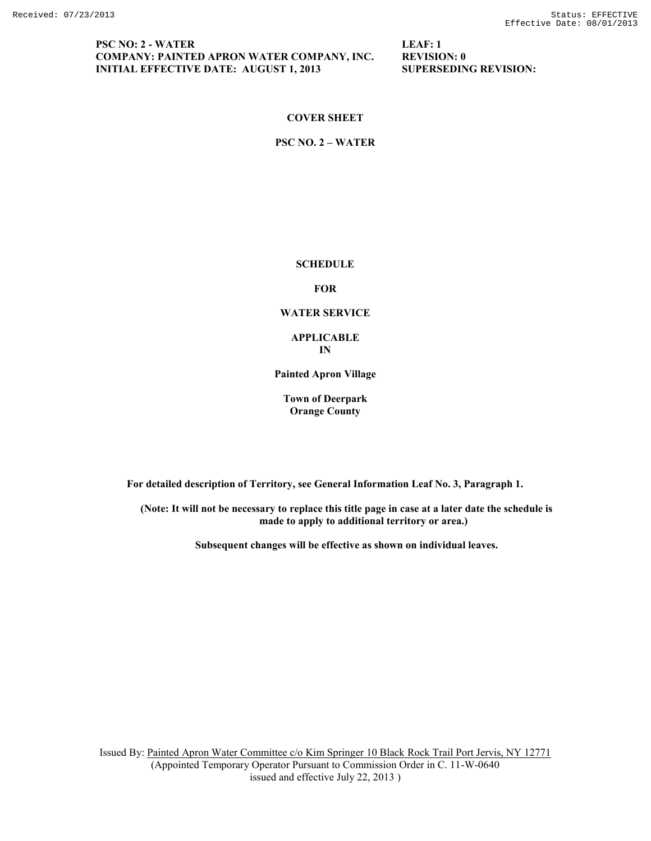## **PSC NO: 2 - WATER LEAF: 1 COMPANY: PAINTED APRON WATER COMPANY, INC. REVISION: 0 INITIAL EFFECTIVE DATE: AUGUST 1, 2013 SUPERSEDING REVISION:**

## **COVER SHEET**

**PSC NO. 2 – WATER**

### **SCHEDULE**

**FOR**

#### **WATER SERVICE**

**APPLICABLE IN**

**Painted Apron Village**

**Town of Deerpark Orange County**

**For detailed description of Territory, see General Information Leaf No. 3, Paragraph 1.**

**(Note: It will not be necessary to replace this title page in case at a later date the schedule is made to apply to additional territory or area.)**

**Subsequent changes will be effective as shown on individual leaves.**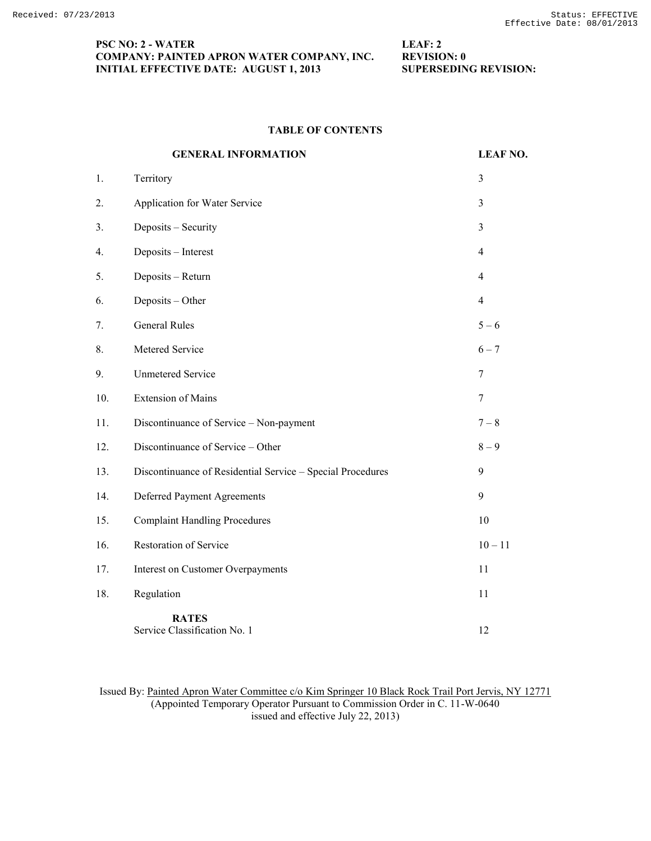## **PSC NO: 2 - WATER LEAF: 2 COMPANY: PAINTED APRON WATER COMPANY, INC. REVISION: 0 INITIAL EFFECTIVE DATE: AUGUST 1, 2013 SUPERSEDING REVISION:**

# **TABLE OF CONTENTS**

|     | <b>GENERAL INFORMATION</b>                                 | <b>LEAF NO.</b> |
|-----|------------------------------------------------------------|-----------------|
| 1.  | Territory                                                  | 3               |
| 2.  | Application for Water Service                              | 3               |
| 3.  | Deposits - Security                                        | 3               |
| 4.  | Deposits - Interest                                        | $\overline{4}$  |
| 5.  | Deposits - Return                                          | $\overline{4}$  |
| 6.  | Deposits - Other                                           | $\overline{4}$  |
| 7.  | <b>General Rules</b>                                       | $5 - 6$         |
| 8.  | Metered Service                                            | $6 - 7$         |
| 9.  | <b>Unmetered Service</b>                                   | $\tau$          |
| 10. | <b>Extension of Mains</b>                                  | $\tau$          |
| 11. | Discontinuance of Service - Non-payment                    | $7 - 8$         |
| 12. | Discontinuance of Service - Other                          | $8-9$           |
| 13. | Discontinuance of Residential Service - Special Procedures | 9               |
| 14. | Deferred Payment Agreements                                | 9               |
| 15. | <b>Complaint Handling Procedures</b>                       | 10              |
| 16. | Restoration of Service                                     | $10 - 11$       |
| 17. | <b>Interest on Customer Overpayments</b>                   | 11              |
| 18. | Regulation                                                 | 11              |
|     | <b>RATES</b><br>Service Classification No. 1               | 12              |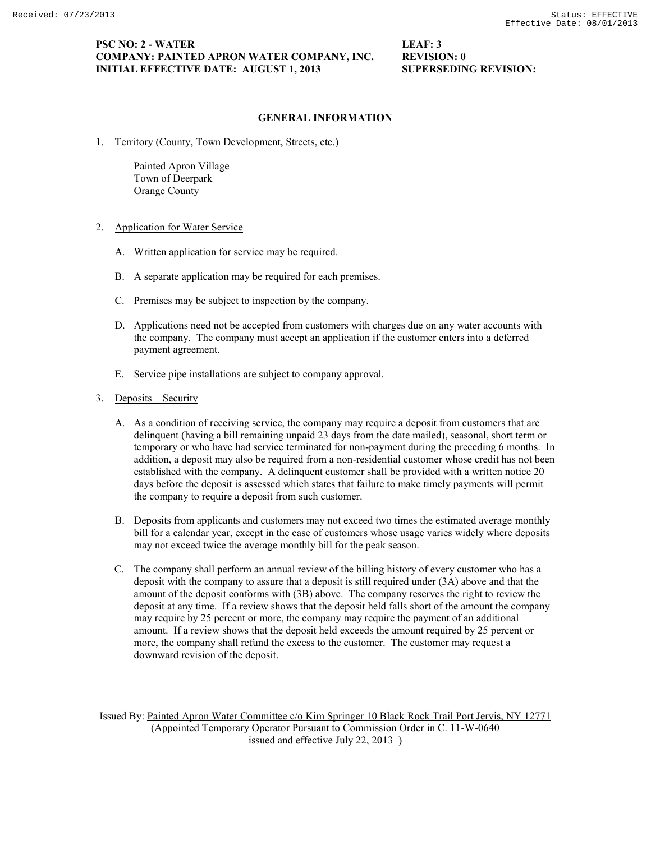### **GENERAL INFORMATION**

1. Territory (County, Town Development, Streets, etc.)

Painted Apron Village Town of Deerpark Orange County

- 2. Application for Water Service
	- A. Written application for service may be required.
	- B. A separate application may be required for each premises.
	- C. Premises may be subject to inspection by the company.
	- D. Applications need not be accepted from customers with charges due on any water accounts with the company. The company must accept an application if the customer enters into a deferred payment agreement.
	- E. Service pipe installations are subject to company approval.
- 3. Deposits Security
	- A. As a condition of receiving service, the company may require a deposit from customers that are delinquent (having a bill remaining unpaid 23 days from the date mailed), seasonal, short term or temporary or who have had service terminated for non-payment during the preceding 6 months. In addition, a deposit may also be required from a non-residential customer whose credit has not been established with the company. A delinquent customer shall be provided with a written notice 20 days before the deposit is assessed which states that failure to make timely payments will permit the company to require a deposit from such customer.
	- B. Deposits from applicants and customers may not exceed two times the estimated average monthly bill for a calendar year, except in the case of customers whose usage varies widely where deposits may not exceed twice the average monthly bill for the peak season.
	- C. The company shall perform an annual review of the billing history of every customer who has a deposit with the company to assure that a deposit is still required under (3A) above and that the amount of the deposit conforms with (3B) above. The company reserves the right to review the deposit at any time. If a review shows that the deposit held falls short of the amount the company may require by 25 percent or more, the company may require the payment of an additional amount. If a review shows that the deposit held exceeds the amount required by 25 percent or more, the company shall refund the excess to the customer. The customer may request a downward revision of the deposit.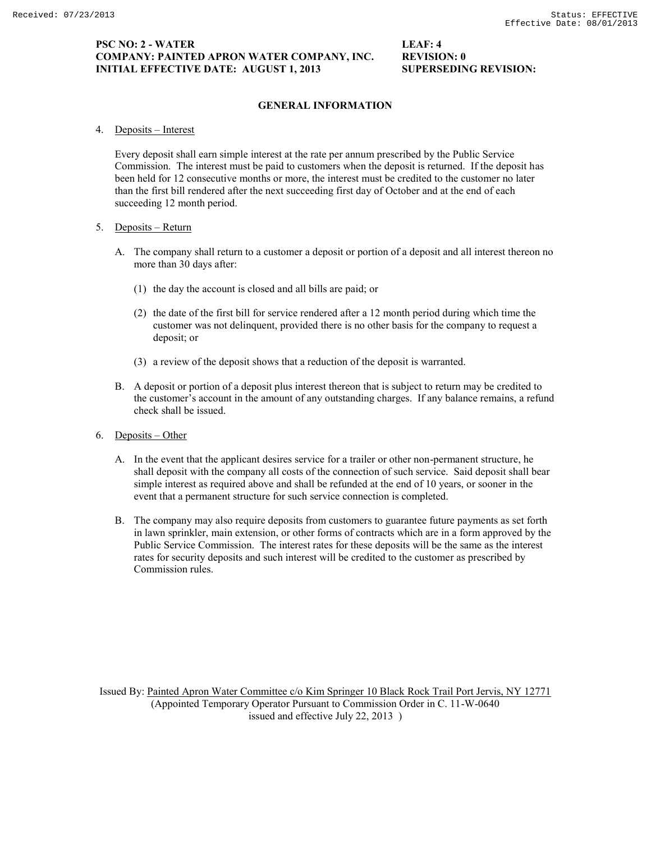## **PSC NO: 2 - WATER LEAF: 4 COMPANY: PAINTED APRON WATER COMPANY, INC. REVISION: 0 INITIAL EFFECTIVE DATE: AUGUST 1, 2013 SUPERSEDING REVISION:**

# **GENERAL INFORMATION**

4. Deposits – Interest

Every deposit shall earn simple interest at the rate per annum prescribed by the Public Service Commission. The interest must be paid to customers when the deposit is returned. If the deposit has been held for 12 consecutive months or more, the interest must be credited to the customer no later than the first bill rendered after the next succeeding first day of October and at the end of each succeeding 12 month period.

## 5. Deposits – Return

- A. The company shall return to a customer a deposit or portion of a deposit and all interest thereon no more than 30 days after:
	- (1) the day the account is closed and all bills are paid; or
	- (2) the date of the first bill for service rendered after a 12 month period during which time the customer was not delinquent, provided there is no other basis for the company to request a deposit; or
	- (3) a review of the deposit shows that a reduction of the deposit is warranted.
- B. A deposit or portion of a deposit plus interest thereon that is subject to return may be credited to the customer's account in the amount of any outstanding charges. If any balance remains, a refund check shall be issued.
- 6. Deposits Other
	- A. In the event that the applicant desires service for a trailer or other non-permanent structure, he shall deposit with the company all costs of the connection of such service. Said deposit shall bear simple interest as required above and shall be refunded at the end of 10 years, or sooner in the event that a permanent structure for such service connection is completed.
	- B. The company may also require deposits from customers to guarantee future payments as set forth in lawn sprinkler, main extension, or other forms of contracts which are in a form approved by the Public Service Commission. The interest rates for these deposits will be the same as the interest rates for security deposits and such interest will be credited to the customer as prescribed by Commission rules.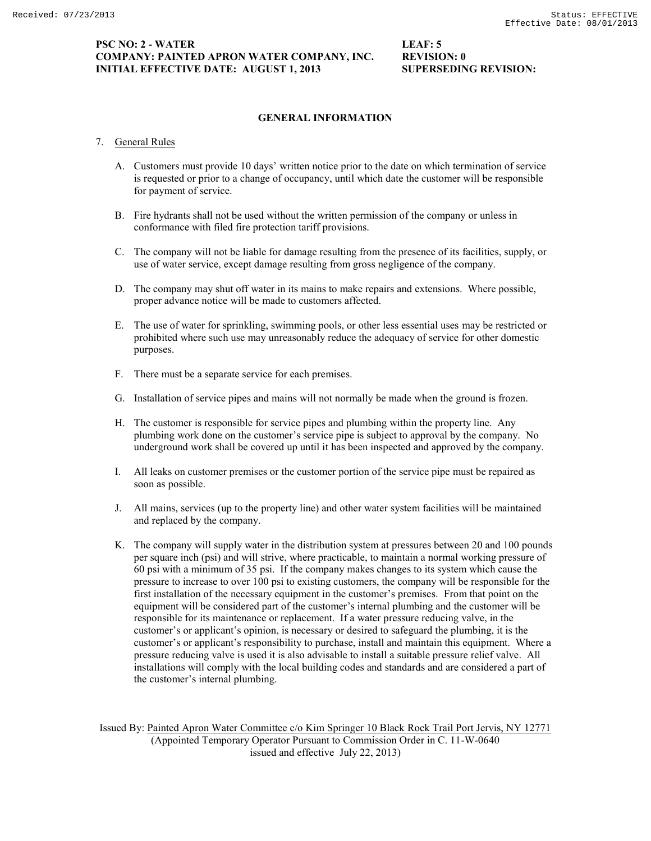## **PSC NO: 2 - WATER LEAF: 5 COMPANY: PAINTED APRON WATER COMPANY, INC. REVISION: 0 INITIAL EFFECTIVE DATE: AUGUST 1, 2013 SUPERSEDING REVISION:**

## **GENERAL INFORMATION**

- 7. General Rules
	- A. Customers must provide 10 days' written notice prior to the date on which termination of service is requested or prior to a change of occupancy, until which date the customer will be responsible for payment of service.
	- B. Fire hydrants shall not be used without the written permission of the company or unless in conformance with filed fire protection tariff provisions.
	- C. The company will not be liable for damage resulting from the presence of its facilities, supply, or use of water service, except damage resulting from gross negligence of the company.
	- D. The company may shut off water in its mains to make repairs and extensions. Where possible, proper advance notice will be made to customers affected.
	- E. The use of water for sprinkling, swimming pools, or other less essential uses may be restricted or prohibited where such use may unreasonably reduce the adequacy of service for other domestic purposes.
	- F. There must be a separate service for each premises.
	- G. Installation of service pipes and mains will not normally be made when the ground is frozen.
	- H. The customer is responsible for service pipes and plumbing within the property line. Any plumbing work done on the customer's service pipe is subject to approval by the company. No underground work shall be covered up until it has been inspected and approved by the company.
	- I. All leaks on customer premises or the customer portion of the service pipe must be repaired as soon as possible.
	- J. All mains, services (up to the property line) and other water system facilities will be maintained and replaced by the company.
	- K. The company will supply water in the distribution system at pressures between 20 and 100 pounds per square inch (psi) and will strive, where practicable, to maintain a normal working pressure of 60 psi with a minimum of 35 psi. If the company makes changes to its system which cause the pressure to increase to over 100 psi to existing customers, the company will be responsible for the first installation of the necessary equipment in the customer's premises. From that point on the equipment will be considered part of the customer's internal plumbing and the customer will be responsible for its maintenance or replacement. If a water pressure reducing valve, in the customer's or applicant's opinion, is necessary or desired to safeguard the plumbing, it is the customer's or applicant's responsibility to purchase, install and maintain this equipment. Where a pressure reducing valve is used it is also advisable to install a suitable pressure relief valve. All installations will comply with the local building codes and standards and are considered a part of the customer's internal plumbing.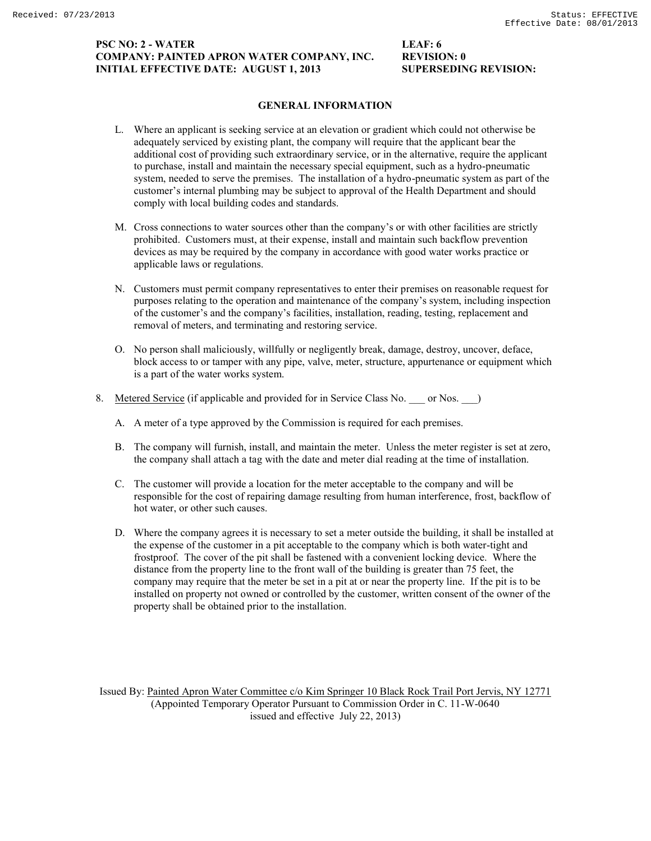## **PSC NO: 2 - WATER LEAF: 6 COMPANY: PAINTED APRON WATER COMPANY, INC. REVISION: 0 INITIAL EFFECTIVE DATE: AUGUST 1, 2013 SUPERSEDING REVISION:**

## **GENERAL INFORMATION**

- L. Where an applicant is seeking service at an elevation or gradient which could not otherwise be adequately serviced by existing plant, the company will require that the applicant bear the additional cost of providing such extraordinary service, or in the alternative, require the applicant to purchase, install and maintain the necessary special equipment, such as a hydro-pneumatic system, needed to serve the premises. The installation of a hydro-pneumatic system as part of the customer's internal plumbing may be subject to approval of the Health Department and should comply with local building codes and standards.
- M. Cross connections to water sources other than the company's or with other facilities are strictly prohibited. Customers must, at their expense, install and maintain such backflow prevention devices as may be required by the company in accordance with good water works practice or applicable laws or regulations.
- N. Customers must permit company representatives to enter their premises on reasonable request for purposes relating to the operation and maintenance of the company's system, including inspection of the customer's and the company's facilities, installation, reading, testing, replacement and removal of meters, and terminating and restoring service.
- O. No person shall maliciously, willfully or negligently break, damage, destroy, uncover, deface, block access to or tamper with any pipe, valve, meter, structure, appurtenance or equipment which is a part of the water works system.
- 8. Metered Service (if applicable and provided for in Service Class No. \_\_\_ or Nos. \_\_ )
	- A. A meter of a type approved by the Commission is required for each premises.
	- B. The company will furnish, install, and maintain the meter. Unless the meter register is set at zero, the company shall attach a tag with the date and meter dial reading at the time of installation.
	- C. The customer will provide a location for the meter acceptable to the company and will be responsible for the cost of repairing damage resulting from human interference, frost, backflow of hot water, or other such causes.
	- D. Where the company agrees it is necessary to set a meter outside the building, it shall be installed at the expense of the customer in a pit acceptable to the company which is both water-tight and frostproof. The cover of the pit shall be fastened with a convenient locking device. Where the distance from the property line to the front wall of the building is greater than 75 feet, the company may require that the meter be set in a pit at or near the property line. If the pit is to be installed on property not owned or controlled by the customer, written consent of the owner of the property shall be obtained prior to the installation.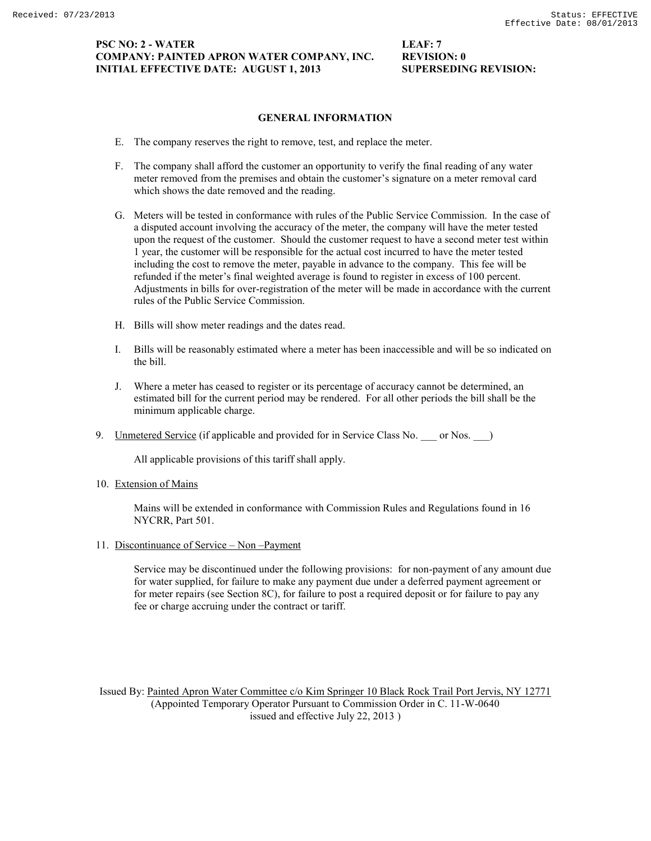## **PSC NO: 2 - WATER LEAF: 7 COMPANY: PAINTED APRON WATER COMPANY, INC. REVISION: 0 INITIAL EFFECTIVE DATE: AUGUST 1, 2013 SUPERSEDING REVISION:**

## **GENERAL INFORMATION**

- E. The company reserves the right to remove, test, and replace the meter.
- F. The company shall afford the customer an opportunity to verify the final reading of any water meter removed from the premises and obtain the customer's signature on a meter removal card which shows the date removed and the reading.
- G. Meters will be tested in conformance with rules of the Public Service Commission. In the case of a disputed account involving the accuracy of the meter, the company will have the meter tested upon the request of the customer. Should the customer request to have a second meter test within 1 year, the customer will be responsible for the actual cost incurred to have the meter tested including the cost to remove the meter, payable in advance to the company. This fee will be refunded if the meter's final weighted average is found to register in excess of 100 percent. Adjustments in bills for over-registration of the meter will be made in accordance with the current rules of the Public Service Commission.
- H. Bills will show meter readings and the dates read.
- I. Bills will be reasonably estimated where a meter has been inaccessible and will be so indicated on the bill.
- J. Where a meter has ceased to register or its percentage of accuracy cannot be determined, an estimated bill for the current period may be rendered. For all other periods the bill shall be the minimum applicable charge.
- 9. Unmetered Service (if applicable and provided for in Service Class No. \_\_\_ or Nos. \_\_)

All applicable provisions of this tariff shall apply.

10. Extension of Mains

Mains will be extended in conformance with Commission Rules and Regulations found in 16 NYCRR, Part 501.

11. Discontinuance of Service – Non –Payment

Service may be discontinued under the following provisions: for non-payment of any amount due for water supplied, for failure to make any payment due under a deferred payment agreement or for meter repairs (see Section 8C), for failure to post a required deposit or for failure to pay any fee or charge accruing under the contract or tariff.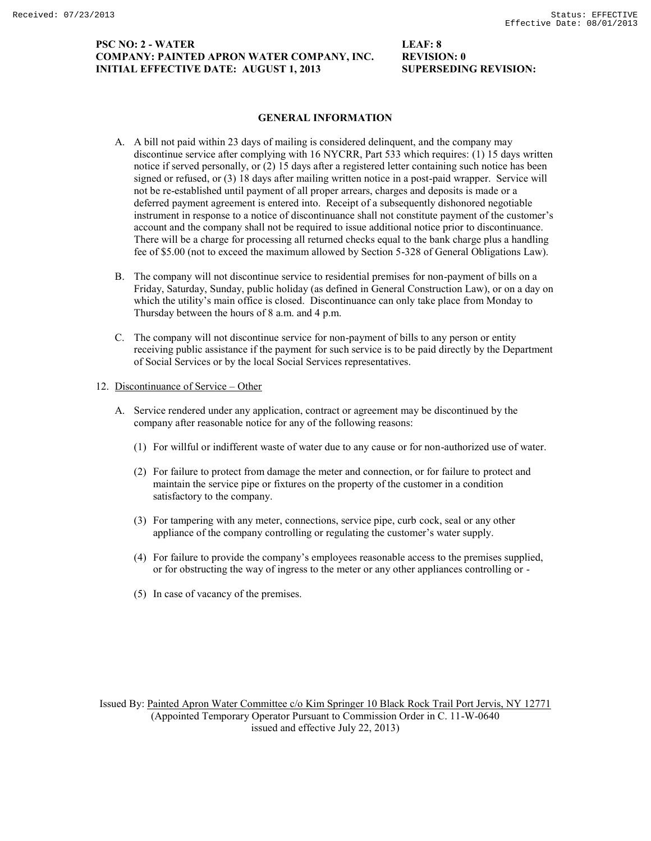## **PSC NO: 2 - WATER LEAF: 8 COMPANY: PAINTED APRON WATER COMPANY, INC. REVISION: 0 INITIAL EFFECTIVE DATE: AUGUST 1, 2013 SUPERSEDING REVISION:**

## **GENERAL INFORMATION**

- A. A bill not paid within 23 days of mailing is considered delinquent, and the company may discontinue service after complying with 16 NYCRR, Part 533 which requires: (1) 15 days written notice if served personally, or (2) 15 days after a registered letter containing such notice has been signed or refused, or (3) 18 days after mailing written notice in a post-paid wrapper. Service will not be re-established until payment of all proper arrears, charges and deposits is made or a deferred payment agreement is entered into. Receipt of a subsequently dishonored negotiable instrument in response to a notice of discontinuance shall not constitute payment of the customer's account and the company shall not be required to issue additional notice prior to discontinuance. There will be a charge for processing all returned checks equal to the bank charge plus a handling fee of \$5.00 (not to exceed the maximum allowed by Section 5-328 of General Obligations Law).
- B. The company will not discontinue service to residential premises for non-payment of bills on a Friday, Saturday, Sunday, public holiday (as defined in General Construction Law), or on a day on which the utility's main office is closed. Discontinuance can only take place from Monday to Thursday between the hours of 8 a.m. and 4 p.m.
- C. The company will not discontinue service for non-payment of bills to any person or entity receiving public assistance if the payment for such service is to be paid directly by the Department of Social Services or by the local Social Services representatives.

### 12. Discontinuance of Service – Other

- A. Service rendered under any application, contract or agreement may be discontinued by the company after reasonable notice for any of the following reasons:
	- (1) For willful or indifferent waste of water due to any cause or for non-authorized use of water.
	- (2) For failure to protect from damage the meter and connection, or for failure to protect and maintain the service pipe or fixtures on the property of the customer in a condition satisfactory to the company.
	- (3) For tampering with any meter, connections, service pipe, curb cock, seal or any other appliance of the company controlling or regulating the customer's water supply.
	- (4) For failure to provide the company's employees reasonable access to the premises supplied, or for obstructing the way of ingress to the meter or any other appliances controlling or -
	- (5) In case of vacancy of the premises.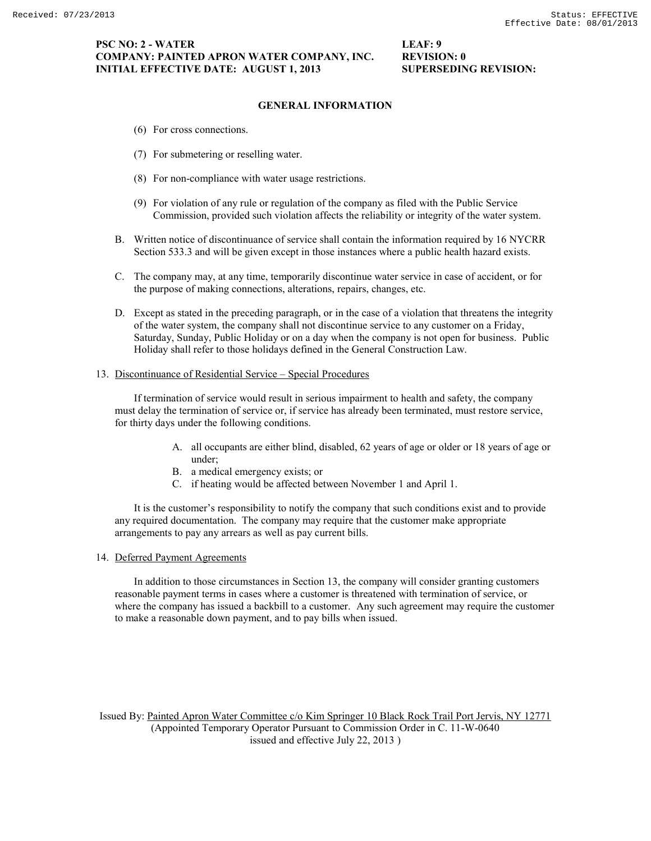## **PSC NO: 2 - WATER LEAF: 9 COMPANY: PAINTED APRON WATER COMPANY, INC. REVISION: 0 INITIAL EFFECTIVE DATE: AUGUST 1, 2013 SUPERSEDING REVISION:**

# **GENERAL INFORMATION**

- (6) For cross connections.
- (7) For submetering or reselling water.
- (8) For non-compliance with water usage restrictions.
- (9) For violation of any rule or regulation of the company as filed with the Public Service Commission, provided such violation affects the reliability or integrity of the water system.
- B. Written notice of discontinuance of service shall contain the information required by 16 NYCRR Section 533.3 and will be given except in those instances where a public health hazard exists.
- C. The company may, at any time, temporarily discontinue water service in case of accident, or for the purpose of making connections, alterations, repairs, changes, etc.
- D. Except as stated in the preceding paragraph, or in the case of a violation that threatens the integrity of the water system, the company shall not discontinue service to any customer on a Friday, Saturday, Sunday, Public Holiday or on a day when the company is not open for business. Public Holiday shall refer to those holidays defined in the General Construction Law.

## 13. Discontinuance of Residential Service – Special Procedures

If termination of service would result in serious impairment to health and safety, the company must delay the termination of service or, if service has already been terminated, must restore service, for thirty days under the following conditions.

- A. all occupants are either blind, disabled, 62 years of age or older or 18 years of age or under;
- B. a medical emergency exists; or
- C. if heating would be affected between November 1 and April 1.

It is the customer's responsibility to notify the company that such conditions exist and to provide any required documentation. The company may require that the customer make appropriate arrangements to pay any arrears as well as pay current bills.

### 14. Deferred Payment Agreements

In addition to those circumstances in Section 13, the company will consider granting customers reasonable payment terms in cases where a customer is threatened with termination of service, or where the company has issued a backbill to a customer. Any such agreement may require the customer to make a reasonable down payment, and to pay bills when issued.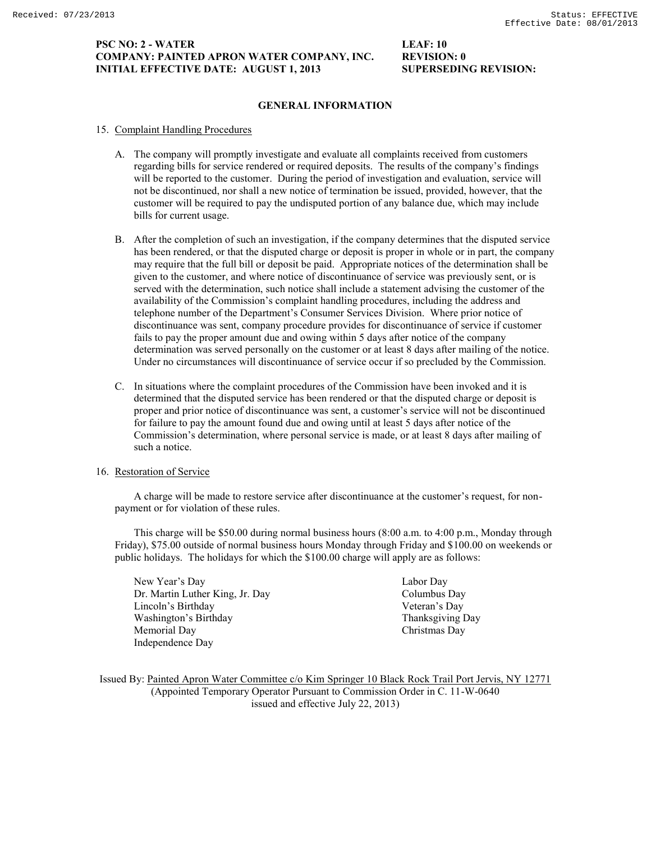## **PSC NO: 2 - WATER LEAF: 10 COMPANY: PAINTED APRON WATER COMPANY, INC. REVISION: 0 INITIAL EFFECTIVE DATE: AUGUST 1, 2013 SUPERSEDING REVISION:**

## **GENERAL INFORMATION**

- 15. Complaint Handling Procedures
	- A. The company will promptly investigate and evaluate all complaints received from customers regarding bills for service rendered or required deposits. The results of the company's findings will be reported to the customer. During the period of investigation and evaluation, service will not be discontinued, nor shall a new notice of termination be issued, provided, however, that the customer will be required to pay the undisputed portion of any balance due, which may include bills for current usage.
	- B. After the completion of such an investigation, if the company determines that the disputed service has been rendered, or that the disputed charge or deposit is proper in whole or in part, the company may require that the full bill or deposit be paid. Appropriate notices of the determination shall be given to the customer, and where notice of discontinuance of service was previously sent, or is served with the determination, such notice shall include a statement advising the customer of the availability of the Commission's complaint handling procedures, including the address and telephone number of the Department's Consumer Services Division. Where prior notice of discontinuance was sent, company procedure provides for discontinuance of service if customer fails to pay the proper amount due and owing within 5 days after notice of the company determination was served personally on the customer or at least 8 days after mailing of the notice. Under no circumstances will discontinuance of service occur if so precluded by the Commission.
	- C. In situations where the complaint procedures of the Commission have been invoked and it is determined that the disputed service has been rendered or that the disputed charge or deposit is proper and prior notice of discontinuance was sent, a customer's service will not be discontinued for failure to pay the amount found due and owing until at least 5 days after notice of the Commission's determination, where personal service is made, or at least 8 days after mailing of such a notice.

# 16. Restoration of Service

A charge will be made to restore service after discontinuance at the customer's request, for nonpayment or for violation of these rules.

This charge will be \$50.00 during normal business hours (8:00 a.m. to 4:00 p.m., Monday through Friday), \$75.00 outside of normal business hours Monday through Friday and \$100.00 on weekends or public holidays. The holidays for which the \$100.00 charge will apply are as follows:

New Year's Day Labor Day Dr. Martin Luther King, Jr. Day Columbus Day Lincoln's Birthday Veteran's Day Washington's Birthday Thanksgiving Day Memorial Day Christmas Day Independence Day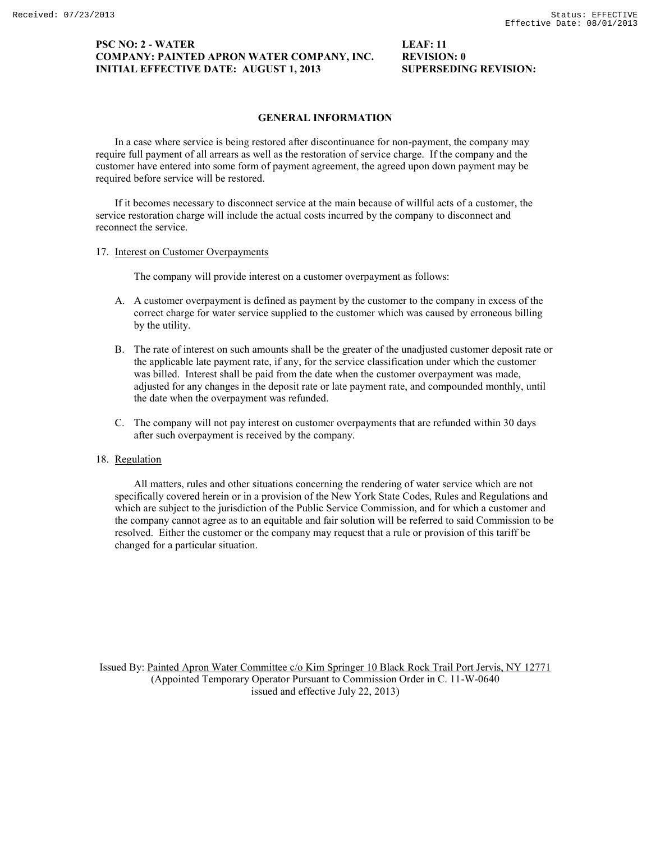## **PSC NO: 2 - WATER LEAF: 11 COMPANY: PAINTED APRON WATER COMPANY, INC. REVISION: 0 INITIAL EFFECTIVE DATE: AUGUST 1, 2013 SUPERSEDING REVISION:**

## **GENERAL INFORMATION**

In a case where service is being restored after discontinuance for non-payment, the company may require full payment of all arrears as well as the restoration of service charge. If the company and the customer have entered into some form of payment agreement, the agreed upon down payment may be required before service will be restored.

If it becomes necessary to disconnect service at the main because of willful acts of a customer, the service restoration charge will include the actual costs incurred by the company to disconnect and reconnect the service.

#### 17. Interest on Customer Overpayments

The company will provide interest on a customer overpayment as follows:

- A. A customer overpayment is defined as payment by the customer to the company in excess of the correct charge for water service supplied to the customer which was caused by erroneous billing by the utility.
- B. The rate of interest on such amounts shall be the greater of the unadjusted customer deposit rate or the applicable late payment rate, if any, for the service classification under which the customer was billed. Interest shall be paid from the date when the customer overpayment was made, adjusted for any changes in the deposit rate or late payment rate, and compounded monthly, until the date when the overpayment was refunded.
- C. The company will not pay interest on customer overpayments that are refunded within 30 days after such overpayment is received by the company.

### 18. Regulation

All matters, rules and other situations concerning the rendering of water service which are not specifically covered herein or in a provision of the New York State Codes, Rules and Regulations and which are subject to the jurisdiction of the Public Service Commission, and for which a customer and the company cannot agree as to an equitable and fair solution will be referred to said Commission to be resolved. Either the customer or the company may request that a rule or provision of this tariff be changed for a particular situation.